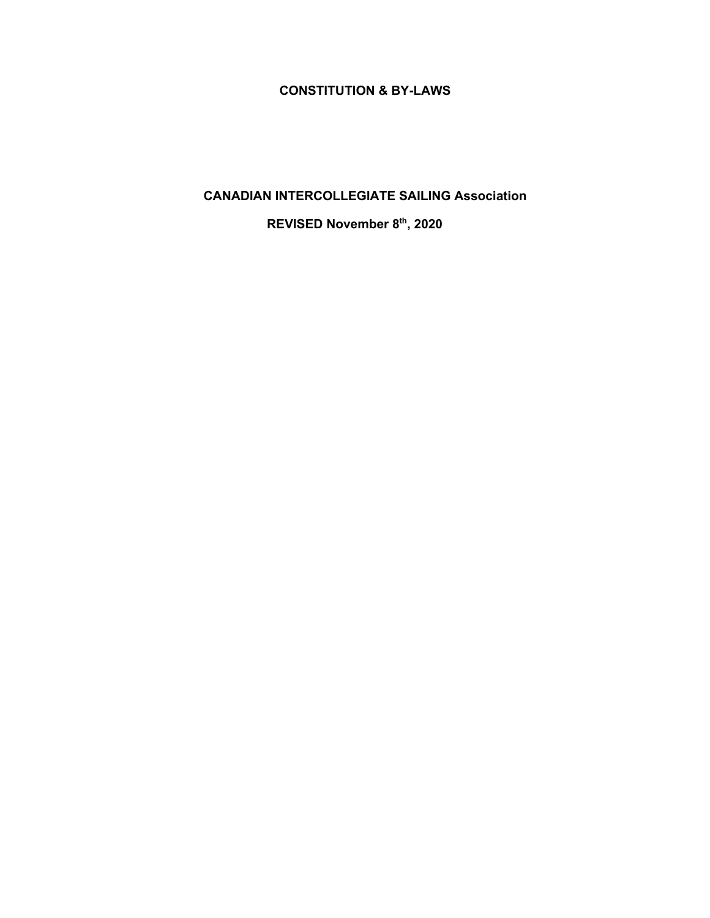#### **CONSTITUTION & BY-LAWS**

# **CANADIAN INTERCOLLEGIATE SAILING Association**

**REVISED November 8th, 2020**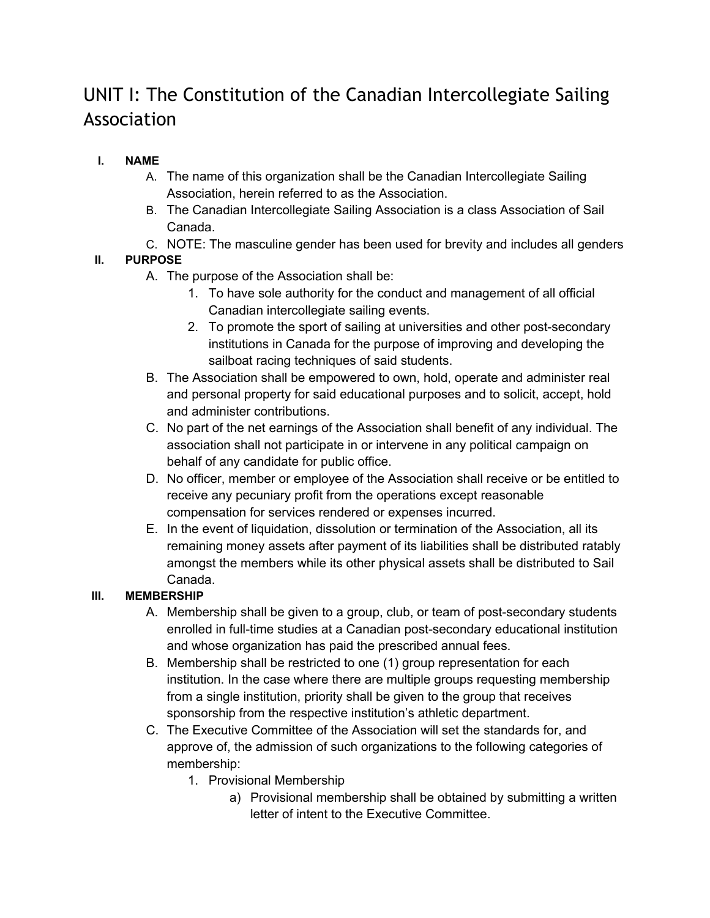# UNIT I: The Constitution of the Canadian Intercollegiate Sailing Association

- **I. NAME**
	- A. The name of this organization shall be the Canadian Intercollegiate Sailing Association, herein referred to as the Association.
	- B. The Canadian Intercollegiate Sailing Association is a class Association of Sail Canada.
	- C. NOTE: The masculine gender has been used for brevity and includes all genders

# **II. PURPOSE**

- A. The purpose of the Association shall be:
	- 1. To have sole authority for the conduct and management of all official Canadian intercollegiate sailing events.
	- 2. To promote the sport of sailing at universities and other post-secondary institutions in Canada for the purpose of improving and developing the sailboat racing techniques of said students.
- B. The Association shall be empowered to own, hold, operate and administer real and personal property for said educational purposes and to solicit, accept, hold and administer contributions.
- C. No part of the net earnings of the Association shall benefit of any individual. The association shall not participate in or intervene in any political campaign on behalf of any candidate for public office.
- D. No officer, member or employee of the Association shall receive or be entitled to receive any pecuniary profit from the operations except reasonable compensation for services rendered or expenses incurred.
- E. In the event of liquidation, dissolution or termination of the Association, all its remaining money assets after payment of its liabilities shall be distributed ratably amongst the members while its other physical assets shall be distributed to Sail Canada.

# **III. MEMBERSHIP**

- A. Membership shall be given to a group, club, or team of post-secondary students enrolled in full-time studies at a Canadian post-secondary educational institution and whose organization has paid the prescribed annual fees.
- B. Membership shall be restricted to one (1) group representation for each institution. In the case where there are multiple groups requesting membership from a single institution, priority shall be given to the group that receives sponsorship from the respective institution's athletic department.
- C. The Executive Committee of the Association will set the standards for, and approve of, the admission of such organizations to the following categories of membership:
	- 1. Provisional Membership
		- a) Provisional membership shall be obtained by submitting a written letter of intent to the Executive Committee.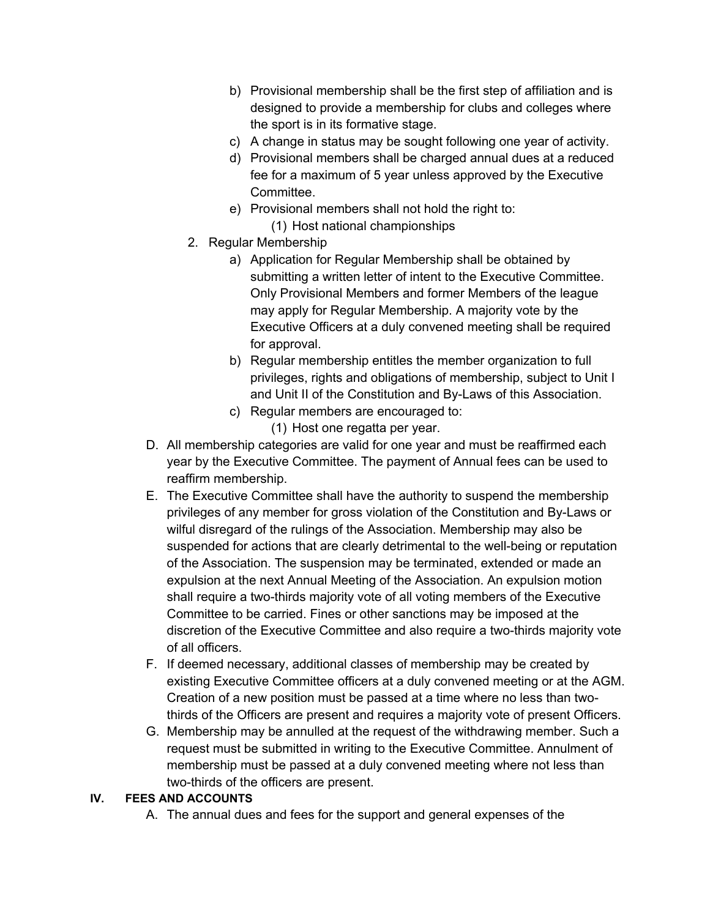- b) Provisional membership shall be the first step of affiliation and is designed to provide a membership for clubs and colleges where the sport is in its formative stage.
- c) A change in status may be sought following one year of activity.
- d) Provisional members shall be charged annual dues at a reduced fee for a maximum of 5 year unless approved by the Executive Committee.
- e) Provisional members shall not hold the right to: (1) Host national championships
- 2. Regular Membership
	- a) Application for Regular Membership shall be obtained by submitting a written letter of intent to the Executive Committee. Only Provisional Members and former Members of the league may apply for Regular Membership. A majority vote by the Executive Officers at a duly convened meeting shall be required for approval.
	- b) Regular membership entitles the member organization to full privileges, rights and obligations of membership, subject to Unit I and Unit II of the Constitution and By-Laws of this Association.
	- c) Regular members are encouraged to:
		- (1) Host one regatta per year.
- D. All membership categories are valid for one year and must be reaffirmed each year by the Executive Committee. The payment of Annual fees can be used to reaffirm membership.
- E. The Executive Committee shall have the authority to suspend the membership privileges of any member for gross violation of the Constitution and By-Laws or wilful disregard of the rulings of the Association. Membership may also be suspended for actions that are clearly detrimental to the well-being or reputation of the Association. The suspension may be terminated, extended or made an expulsion at the next Annual Meeting of the Association. An expulsion motion shall require a two-thirds majority vote of all voting members of the Executive Committee to be carried. Fines or other sanctions may be imposed at the discretion of the Executive Committee and also require a two-thirds majority vote of all officers.
- F. If deemed necessary, additional classes of membership may be created by existing Executive Committee officers at a duly convened meeting or at the AGM. Creation of a new position must be passed at a time where no less than twothirds of the Officers are present and requires a majority vote of present Officers.
- G. Membership may be annulled at the request of the withdrawing member. Such a request must be submitted in writing to the Executive Committee. Annulment of membership must be passed at a duly convened meeting where not less than two-thirds of the officers are present.

#### **IV. FEES AND ACCOUNTS**

A. The annual dues and fees for the support and general expenses of the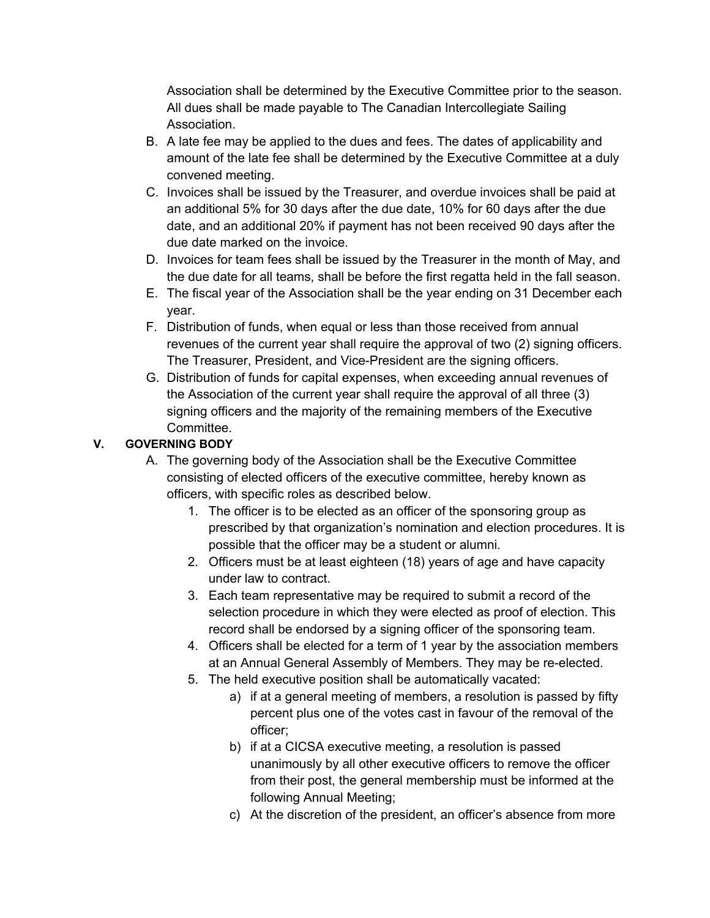Association shall be determined by the Executive Committee prior to the season. All dues shall be made payable to The Canadian Intercollegiate Sailing Association.

- B. A late fee may be applied to the dues and fees. The dates of applicability and amount of the late fee shall be determined by the Executive Committee at a duly convened meeting.
- C. Invoices shall be issued by the Treasurer, and overdue invoices shall be paid at an additional 5% for 30 days after the due date, 10% for 60 days after the due date, and an additional 20% if payment has not been received 90 days after the due date marked on the invoice.
- D. Invoices for team fees shall be issued by the Treasurer in the month of May, and the due date for all teams, shall be before the first regatta held in the fall season.
- E. The fiscal year of the Association shall be the year ending on 31 December each year.
- F. Distribution of funds, when equal or less than those received from annual revenues of the current year shall require the approval of two (2) signing officers. The Treasurer, President, and Vice-President are the signing officers.
- G. Distribution of funds for capital expenses, when exceeding annual revenues of the Association of the current year shall require the approval of all three (3) signing officers and the majority of the remaining members of the Executive Committee.

#### **V. GOVERNING BODY**

- A. The governing body of the Association shall be the Executive Committee consisting of elected officers of the executive committee, hereby known as officers, with specific roles as described below.
	- 1. The officer is to be elected as an officer of the sponsoring group as prescribed by that organization's nomination and election procedures. It is possible that the officer may be a student or alumni.
	- 2. Officers must be at least eighteen (18) years of age and have capacity under law to contract.
	- 3. Each team representative may be required to submit a record of the selection procedure in which they were elected as proof of election. This record shall be endorsed by a signing officer of the sponsoring team.
	- 4. Officers shall be elected for a term of 1 year by the association members at an Annual General Assembly of Members. They may be re-elected.
	- 5. The held executive position shall be automatically vacated:
		- a) if at a general meeting of members, a resolution is passed by fifty percent plus one of the votes cast in favour of the removal of the officer;
		- b) if at a CICSA executive meeting, a resolution is passed unanimously by all other executive officers to remove the officer from their post, the general membership must be informed at the following Annual Meeting;
		- c) At the discretion of the president, an officer's absence from more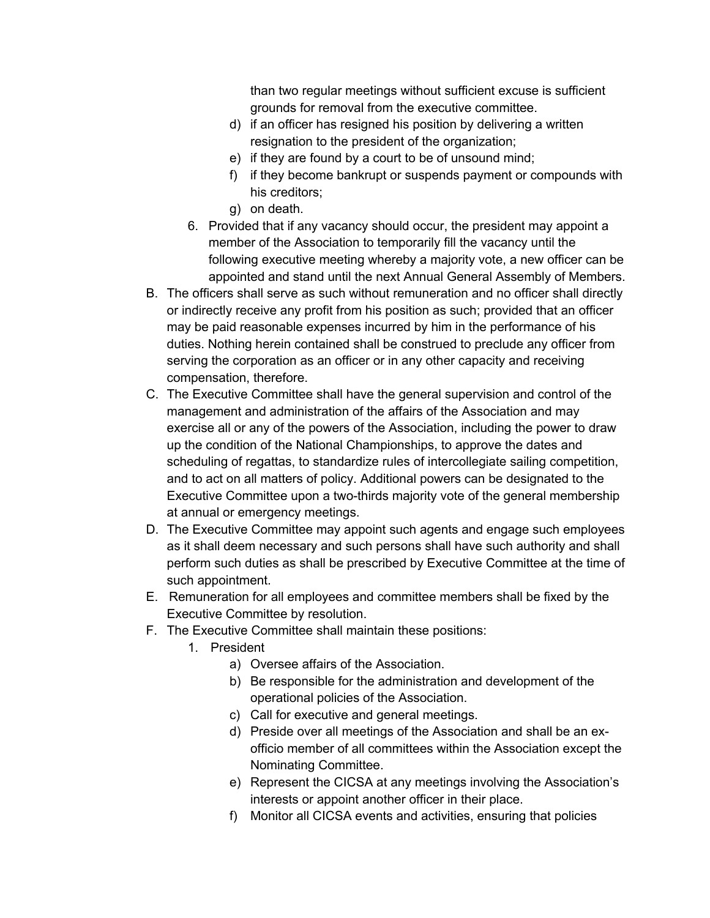than two regular meetings without sufficient excuse is sufficient grounds for removal from the executive committee.

- d) if an officer has resigned his position by delivering a written resignation to the president of the organization;
- e) if they are found by a court to be of unsound mind;
- f) if they become bankrupt or suspends payment or compounds with his creditors;
- g) on death.
- 6. Provided that if any vacancy should occur, the president may appoint a member of the Association to temporarily fill the vacancy until the following executive meeting whereby a majority vote, a new officer can be appointed and stand until the next Annual General Assembly of Members.
- B. The officers shall serve as such without remuneration and no officer shall directly or indirectly receive any profit from his position as such; provided that an officer may be paid reasonable expenses incurred by him in the performance of his duties. Nothing herein contained shall be construed to preclude any officer from serving the corporation as an officer or in any other capacity and receiving compensation, therefore.
- C. The Executive Committee shall have the general supervision and control of the management and administration of the affairs of the Association and may exercise all or any of the powers of the Association, including the power to draw up the condition of the National Championships, to approve the dates and scheduling of regattas, to standardize rules of intercollegiate sailing competition, and to act on all matters of policy. Additional powers can be designated to the Executive Committee upon a two-thirds majority vote of the general membership at annual or emergency meetings.
- D. The Executive Committee may appoint such agents and engage such employees as it shall deem necessary and such persons shall have such authority and shall perform such duties as shall be prescribed by Executive Committee at the time of such appointment.
- E. Remuneration for all employees and committee members shall be fixed by the Executive Committee by resolution.
- F. The Executive Committee shall maintain these positions:
	- 1. President
		- a) Oversee affairs of the Association.
		- b) Be responsible for the administration and development of the operational policies of the Association.
		- c) Call for executive and general meetings.
		- d) Preside over all meetings of the Association and shall be an exofficio member of all committees within the Association except the Nominating Committee.
		- e) Represent the CICSA at any meetings involving the Association's interests or appoint another officer in their place.
		- f) Monitor all CICSA events and activities, ensuring that policies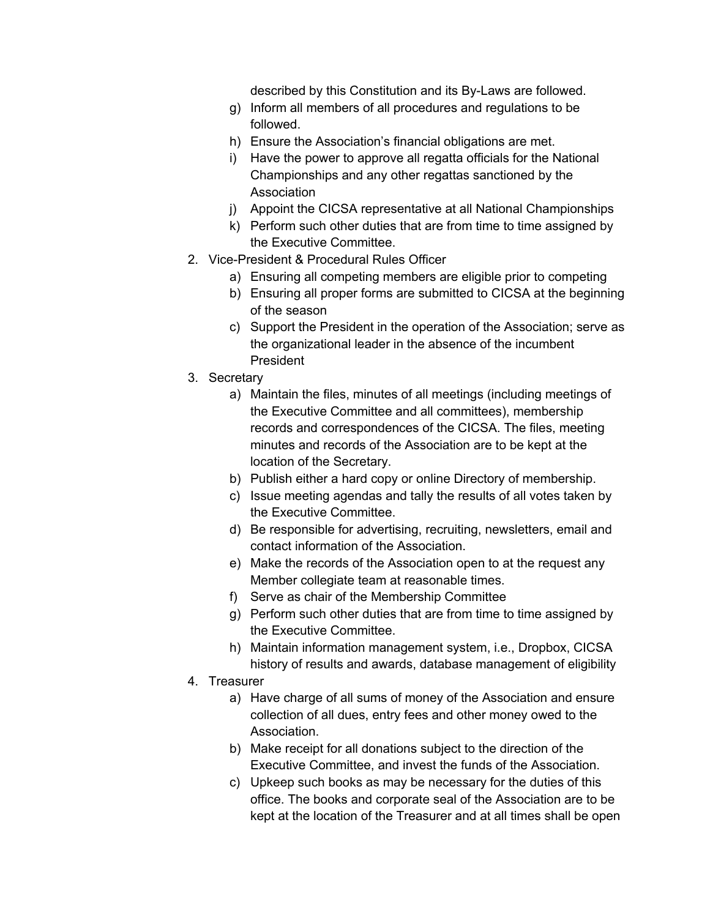described by this Constitution and its By-Laws are followed.

- g) Inform all members of all procedures and regulations to be followed.
- h) Ensure the Association's financial obligations are met.
- i) Have the power to approve all regatta officials for the National Championships and any other regattas sanctioned by the Association
- j) Appoint the CICSA representative at all National Championships
- k) Perform such other duties that are from time to time assigned by the Executive Committee.
- 2. Vice-President & Procedural Rules Officer
	- a) Ensuring all competing members are eligible prior to competing
	- b) Ensuring all proper forms are submitted to CICSA at the beginning of the season
	- c) Support the President in the operation of the Association; serve as the organizational leader in the absence of the incumbent President
- 3. Secretary
	- a) Maintain the files, minutes of all meetings (including meetings of the Executive Committee and all committees), membership records and correspondences of the CICSA. The files, meeting minutes and records of the Association are to be kept at the location of the Secretary.
	- b) Publish either a hard copy or online Directory of membership.
	- c) Issue meeting agendas and tally the results of all votes taken by the Executive Committee.
	- d) Be responsible for advertising, recruiting, newsletters, email and contact information of the Association.
	- e) Make the records of the Association open to at the request any Member collegiate team at reasonable times.
	- f) Serve as chair of the Membership Committee
	- g) Perform such other duties that are from time to time assigned by the Executive Committee.
	- h) Maintain information management system, i.e., Dropbox, CICSA history of results and awards, database management of eligibility
- 4. Treasurer
	- a) Have charge of all sums of money of the Association and ensure collection of all dues, entry fees and other money owed to the Association.
	- b) Make receipt for all donations subject to the direction of the Executive Committee, and invest the funds of the Association.
	- c) Upkeep such books as may be necessary for the duties of this office. The books and corporate seal of the Association are to be kept at the location of the Treasurer and at all times shall be open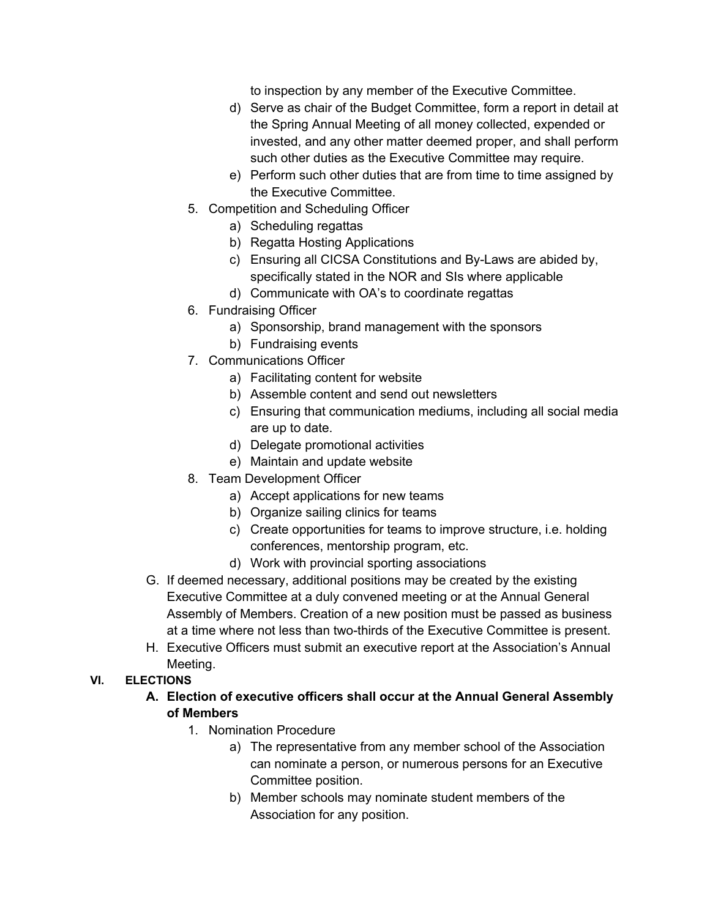to inspection by any member of the Executive Committee.

- d) Serve as chair of the Budget Committee, form a report in detail at the Spring Annual Meeting of all money collected, expended or invested, and any other matter deemed proper, and shall perform such other duties as the Executive Committee may require.
- e) Perform such other duties that are from time to time assigned by the Executive Committee.
- 5. Competition and Scheduling Officer
	- a) Scheduling regattas
	- b) Regatta Hosting Applications
	- c) Ensuring all CICSA Constitutions and By-Laws are abided by, specifically stated in the NOR and SIs where applicable
	- d) Communicate with OA's to coordinate regattas
- 6. Fundraising Officer
	- a) Sponsorship, brand management with the sponsors
	- b) Fundraising events
- 7. Communications Officer
	- a) Facilitating content for website
	- b) Assemble content and send out newsletters
	- c) Ensuring that communication mediums, including all social media are up to date.
	- d) Delegate promotional activities
	- e) Maintain and update website
- 8. Team Development Officer
	- a) Accept applications for new teams
	- b) Organize sailing clinics for teams
	- c) Create opportunities for teams to improve structure, i.e. holding conferences, mentorship program, etc.
	- d) Work with provincial sporting associations
- G. If deemed necessary, additional positions may be created by the existing Executive Committee at a duly convened meeting or at the Annual General Assembly of Members. Creation of a new position must be passed as business at a time where not less than two-thirds of the Executive Committee is present.
- H. Executive Officers must submit an executive report at the Association's Annual Meeting.

#### **VI. ELECTIONS**

- **A. Election of executive officers shall occur at the Annual General Assembly of Members**
	- 1. Nomination Procedure
		- a) The representative from any member school of the Association can nominate a person, or numerous persons for an Executive Committee position.
		- b) Member schools may nominate student members of the Association for any position.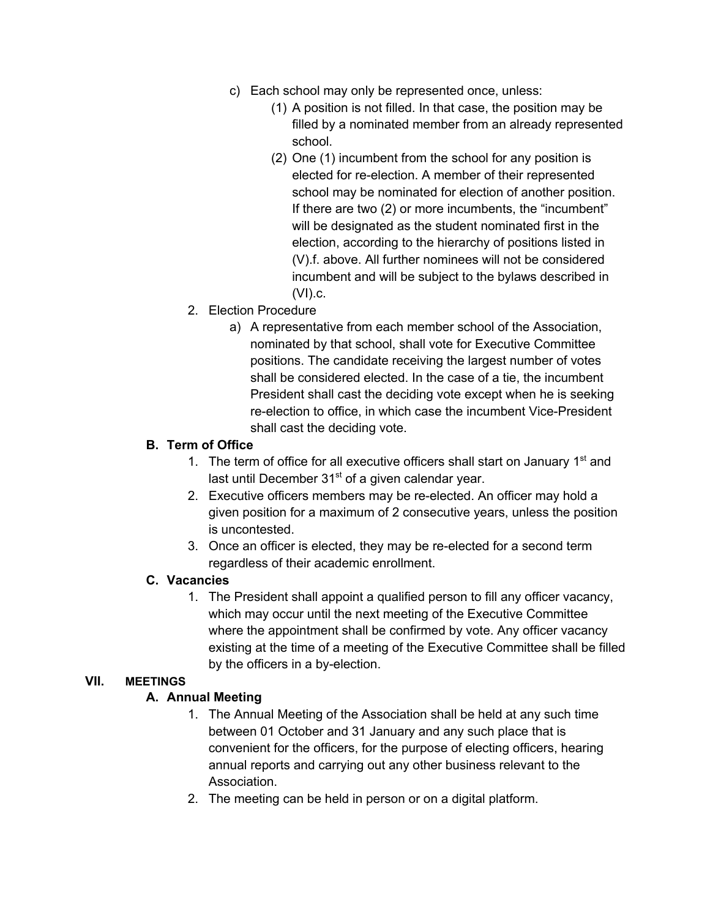- c) Each school may only be represented once, unless:
	- (1) A position is not filled. In that case, the position may be filled by a nominated member from an already represented school.
	- (2) One (1) incumbent from the school for any position is elected for re-election. A member of their represented school may be nominated for election of another position. If there are two (2) or more incumbents, the "incumbent" will be designated as the student nominated first in the election, according to the hierarchy of positions listed in (V).f. above. All further nominees will not be considered incumbent and will be subject to the bylaws described in (VI).c.
- 2. Election Procedure
	- a) A representative from each member school of the Association, nominated by that school, shall vote for Executive Committee positions. The candidate receiving the largest number of votes shall be considered elected. In the case of a tie, the incumbent President shall cast the deciding vote except when he is seeking re-election to office, in which case the incumbent Vice-President shall cast the deciding vote.

#### **B. Term of Office**

- 1. The term of office for all executive officers shall start on January  $1<sup>st</sup>$  and last until December  $31<sup>st</sup>$  of a given calendar year.
- 2. Executive officers members may be re-elected. An officer may hold a given position for a maximum of 2 consecutive years, unless the position is uncontested.
- 3. Once an officer is elected, they may be re-elected for a second term regardless of their academic enrollment.

#### **C. Vacancies**

1. The President shall appoint a qualified person to fill any officer vacancy, which may occur until the next meeting of the Executive Committee where the appointment shall be confirmed by vote. Any officer vacancy existing at the time of a meeting of the Executive Committee shall be filled by the officers in a by-election.

#### **VII. MEETINGS**

#### **A. Annual Meeting**

- 1. The Annual Meeting of the Association shall be held at any such time between 01 October and 31 January and any such place that is convenient for the officers, for the purpose of electing officers, hearing annual reports and carrying out any other business relevant to the Association.
- 2. The meeting can be held in person or on a digital platform.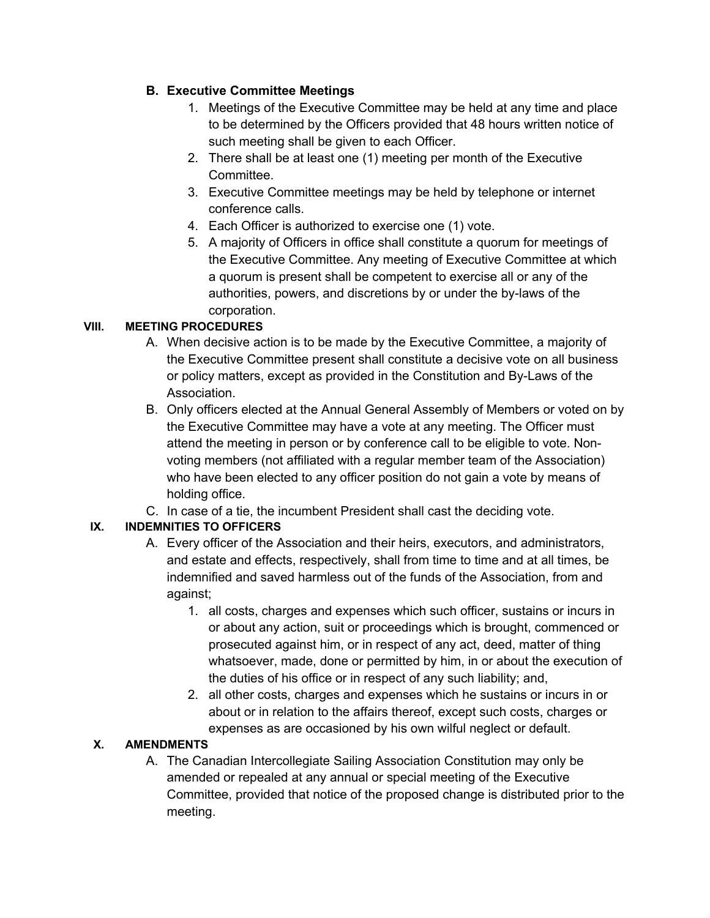#### **B. Executive Committee Meetings**

- 1. Meetings of the Executive Committee may be held at any time and place to be determined by the Officers provided that 48 hours written notice of such meeting shall be given to each Officer.
- 2. There shall be at least one (1) meeting per month of the Executive Committee.
- 3. Executive Committee meetings may be held by telephone or internet conference calls.
- 4. Each Officer is authorized to exercise one (1) vote.
- 5. A majority of Officers in office shall constitute a quorum for meetings of the Executive Committee. Any meeting of Executive Committee at which a quorum is present shall be competent to exercise all or any of the authorities, powers, and discretions by or under the by-laws of the corporation.

#### **VIII. MEETING PROCEDURES**

- A. When decisive action is to be made by the Executive Committee, a majority of the Executive Committee present shall constitute a decisive vote on all business or policy matters, except as provided in the Constitution and By-Laws of the Association.
- B. Only officers elected at the Annual General Assembly of Members or voted on by the Executive Committee may have a vote at any meeting. The Officer must attend the meeting in person or by conference call to be eligible to vote. Nonvoting members (not affiliated with a regular member team of the Association) who have been elected to any officer position do not gain a vote by means of holding office.
- C. In case of a tie, the incumbent President shall cast the deciding vote.

# **IX. INDEMNITIES TO OFFICERS**

- A. Every officer of the Association and their heirs, executors, and administrators, and estate and effects, respectively, shall from time to time and at all times, be indemnified and saved harmless out of the funds of the Association, from and against;
	- 1. all costs, charges and expenses which such officer, sustains or incurs in or about any action, suit or proceedings which is brought, commenced or prosecuted against him, or in respect of any act, deed, matter of thing whatsoever, made, done or permitted by him, in or about the execution of the duties of his office or in respect of any such liability; and,
	- 2. all other costs, charges and expenses which he sustains or incurs in or about or in relation to the affairs thereof, except such costs, charges or expenses as are occasioned by his own wilful neglect or default.

#### **X. AMENDMENTS**

A. The Canadian Intercollegiate Sailing Association Constitution may only be amended or repealed at any annual or special meeting of the Executive Committee, provided that notice of the proposed change is distributed prior to the meeting.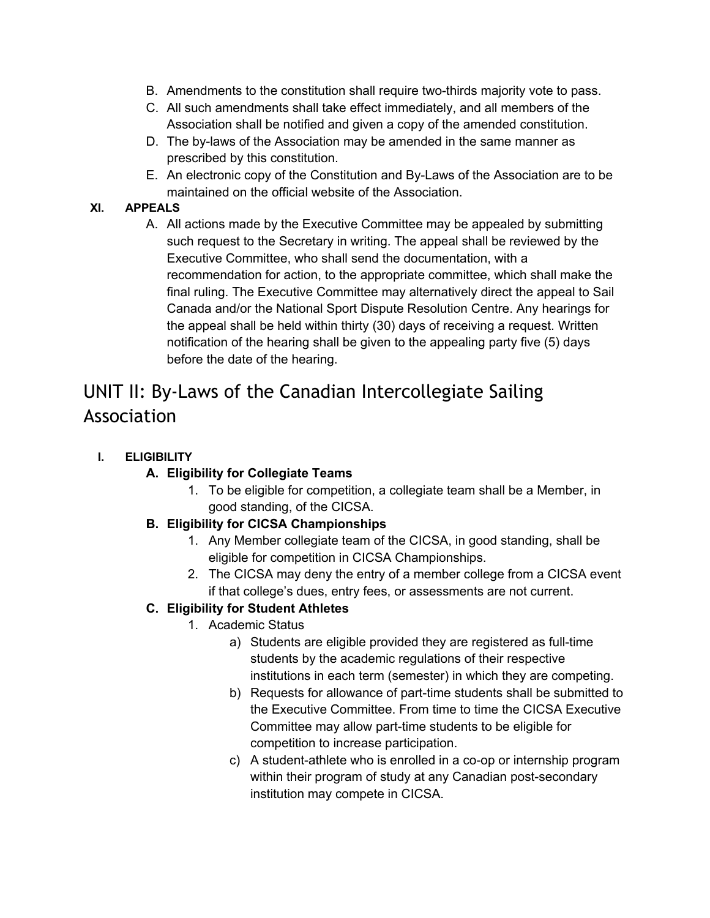- B. Amendments to the constitution shall require two-thirds majority vote to pass.
- C. All such amendments shall take effect immediately, and all members of the Association shall be notified and given a copy of the amended constitution.
- D. The by-laws of the Association may be amended in the same manner as prescribed by this constitution.
- E. An electronic copy of the Constitution and By-Laws of the Association are to be maintained on the official website of the Association.

#### **XI. APPEALS**

A. All actions made by the Executive Committee may be appealed by submitting such request to the Secretary in writing. The appeal shall be reviewed by the Executive Committee, who shall send the documentation, with a recommendation for action, to the appropriate committee, which shall make the final ruling. The Executive Committee may alternatively direct the appeal to Sail Canada and/or the National Sport Dispute Resolution Centre. Any hearings for the appeal shall be held within thirty (30) days of receiving a request. Written notification of the hearing shall be given to the appealing party five (5) days before the date of the hearing.

# UNIT II: By-Laws of the Canadian Intercollegiate Sailing Association

# **I. ELIGIBILITY**

# **A. Eligibility for Collegiate Teams**

1. To be eligible for competition, a collegiate team shall be a Member, in good standing, of the CICSA.

# **B. Eligibility for CICSA Championships**

- 1. Any Member collegiate team of the CICSA, in good standing, shall be eligible for competition in CICSA Championships.
- 2. The CICSA may deny the entry of a member college from a CICSA event if that college's dues, entry fees, or assessments are not current.

# **C. Eligibility for Student Athletes**

- 1. Academic Status
	- a) Students are eligible provided they are registered as full-time students by the academic regulations of their respective institutions in each term (semester) in which they are competing.
	- b) Requests for allowance of part-time students shall be submitted to the Executive Committee. From time to time the CICSA Executive Committee may allow part-time students to be eligible for competition to increase participation.
	- c) A student-athlete who is enrolled in a co-op or internship program within their program of study at any Canadian post-secondary institution may compete in CICSA.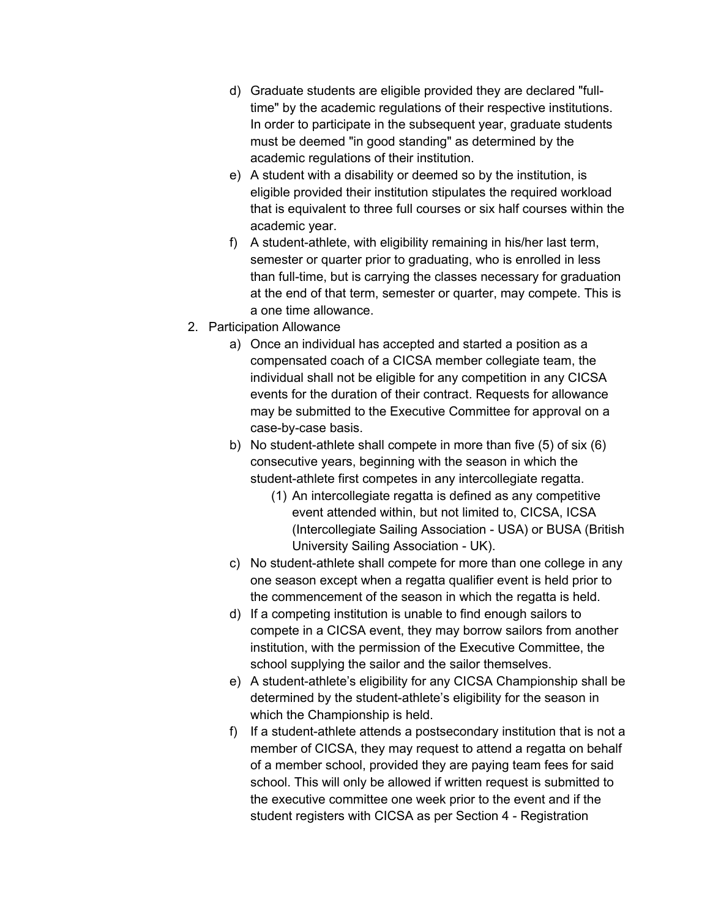- d) Graduate students are eligible provided they are declared "fulltime" by the academic regulations of their respective institutions. In order to participate in the subsequent year, graduate students must be deemed "in good standing" as determined by the academic regulations of their institution.
- e) A student with a disability or deemed so by the institution, is eligible provided their institution stipulates the required workload that is equivalent to three full courses or six half courses within the academic year.
- f) A student-athlete, with eligibility remaining in his/her last term, semester or quarter prior to graduating, who is enrolled in less than full-time, but is carrying the classes necessary for graduation at the end of that term, semester or quarter, may compete. This is a one time allowance.
- 2. Participation Allowance
	- a) Once an individual has accepted and started a position as a compensated coach of a CICSA member collegiate team, the individual shall not be eligible for any competition in any CICSA events for the duration of their contract. Requests for allowance may be submitted to the Executive Committee for approval on a case-by-case basis.
	- b) No student-athlete shall compete in more than five (5) of six (6) consecutive years, beginning with the season in which the student-athlete first competes in any intercollegiate regatta.
		- (1) An intercollegiate regatta is defined as any competitive event attended within, but not limited to, CICSA, ICSA (Intercollegiate Sailing Association - USA) or BUSA (British University Sailing Association - UK).
	- c) No student-athlete shall compete for more than one college in any one season except when a regatta qualifier event is held prior to the commencement of the season in which the regatta is held.
	- d) If a competing institution is unable to find enough sailors to compete in a CICSA event, they may borrow sailors from another institution, with the permission of the Executive Committee, the school supplying the sailor and the sailor themselves.
	- e) A student-athlete's eligibility for any CICSA Championship shall be determined by the student-athlete's eligibility for the season in which the Championship is held.
	- f) If a student-athlete attends a postsecondary institution that is not a member of CICSA, they may request to attend a regatta on behalf of a member school, provided they are paying team fees for said school. This will only be allowed if written request is submitted to the executive committee one week prior to the event and if the student registers with CICSA as per Section 4 - Registration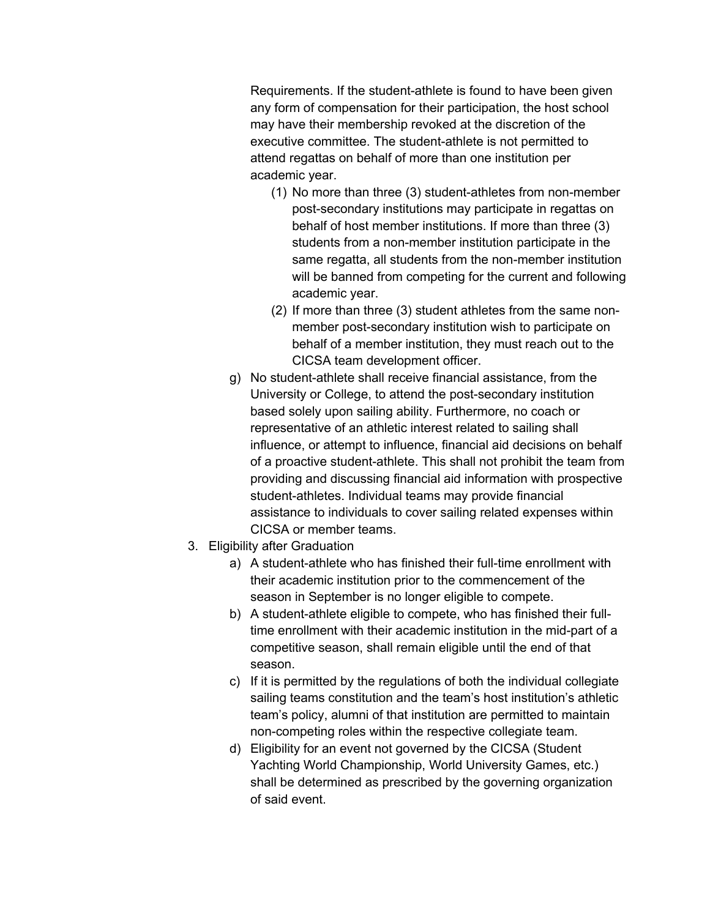Requirements. If the student-athlete is found to have been given any form of compensation for their participation, the host school may have their membership revoked at the discretion of the executive committee. The student-athlete is not permitted to attend regattas on behalf of more than one institution per academic year.

- (1) No more than three (3) student-athletes from non-member post-secondary institutions may participate in regattas on behalf of host member institutions. If more than three (3) students from a non-member institution participate in the same regatta, all students from the non-member institution will be banned from competing for the current and following academic year.
- (2) If more than three (3) student athletes from the same nonmember post-secondary institution wish to participate on behalf of a member institution, they must reach out to the CICSA team development officer.
- g) No student-athlete shall receive financial assistance, from the University or College, to attend the post-secondary institution based solely upon sailing ability. Furthermore, no coach or representative of an athletic interest related to sailing shall influence, or attempt to influence, financial aid decisions on behalf of a proactive student-athlete. This shall not prohibit the team from providing and discussing financial aid information with prospective student-athletes. Individual teams may provide financial assistance to individuals to cover sailing related expenses within CICSA or member teams.
- 3. Eligibility after Graduation
	- a) A student-athlete who has finished their full-time enrollment with their academic institution prior to the commencement of the season in September is no longer eligible to compete.
	- b) A student-athlete eligible to compete, who has finished their fulltime enrollment with their academic institution in the mid-part of a competitive season, shall remain eligible until the end of that season.
	- c) If it is permitted by the regulations of both the individual collegiate sailing teams constitution and the team's host institution's athletic team's policy, alumni of that institution are permitted to maintain non-competing roles within the respective collegiate team.
	- d) Eligibility for an event not governed by the CICSA (Student Yachting World Championship, World University Games, etc.) shall be determined as prescribed by the governing organization of said event.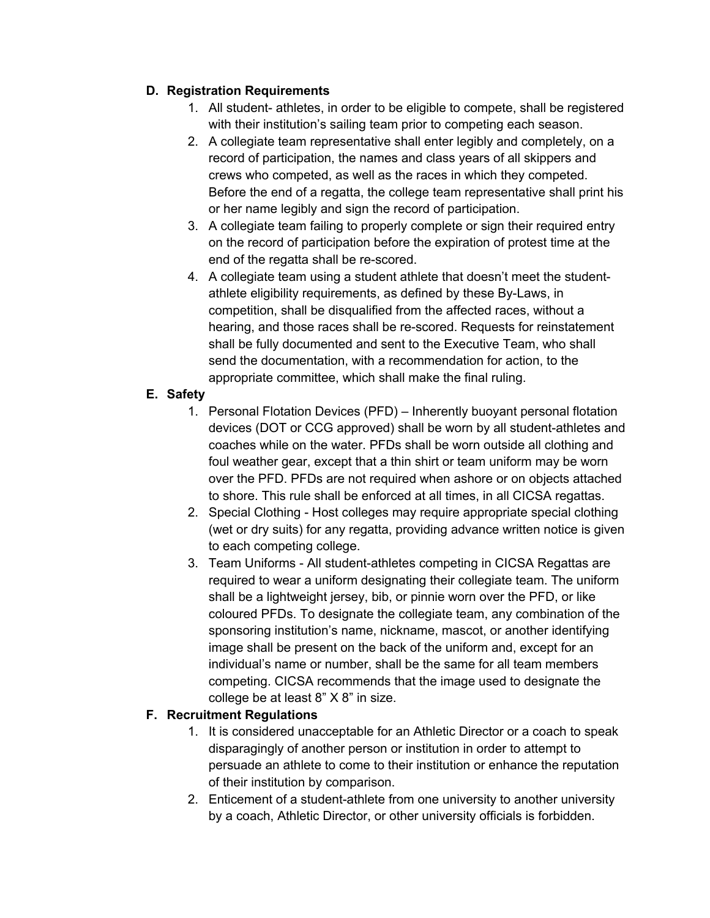#### **D. Registration Requirements**

- 1. All student- athletes, in order to be eligible to compete, shall be registered with their institution's sailing team prior to competing each season.
- 2. A collegiate team representative shall enter legibly and completely, on a record of participation, the names and class years of all skippers and crews who competed, as well as the races in which they competed. Before the end of a regatta, the college team representative shall print his or her name legibly and sign the record of participation.
- 3. A collegiate team failing to properly complete or sign their required entry on the record of participation before the expiration of protest time at the end of the regatta shall be re-scored.
- 4. A collegiate team using a student athlete that doesn't meet the studentathlete eligibility requirements, as defined by these By-Laws, in competition, shall be disqualified from the affected races, without a hearing, and those races shall be re-scored. Requests for reinstatement shall be fully documented and sent to the Executive Team, who shall send the documentation, with a recommendation for action, to the appropriate committee, which shall make the final ruling.

#### **E. Safety**

- 1. Personal Flotation Devices (PFD) Inherently buoyant personal flotation devices (DOT or CCG approved) shall be worn by all student-athletes and coaches while on the water. PFDs shall be worn outside all clothing and foul weather gear, except that a thin shirt or team uniform may be worn over the PFD. PFDs are not required when ashore or on objects attached to shore. This rule shall be enforced at all times, in all CICSA regattas.
- 2. Special Clothing Host colleges may require appropriate special clothing (wet or dry suits) for any regatta, providing advance written notice is given to each competing college.
- 3. Team Uniforms All student-athletes competing in CICSA Regattas are required to wear a uniform designating their collegiate team. The uniform shall be a lightweight jersey, bib, or pinnie worn over the PFD, or like coloured PFDs. To designate the collegiate team, any combination of the sponsoring institution's name, nickname, mascot, or another identifying image shall be present on the back of the uniform and, except for an individual's name or number, shall be the same for all team members competing. CICSA recommends that the image used to designate the college be at least 8" X 8" in size.

# **F. Recruitment Regulations**

- 1. It is considered unacceptable for an Athletic Director or a coach to speak disparagingly of another person or institution in order to attempt to persuade an athlete to come to their institution or enhance the reputation of their institution by comparison.
- 2. Enticement of a student-athlete from one university to another university by a coach, Athletic Director, or other university officials is forbidden.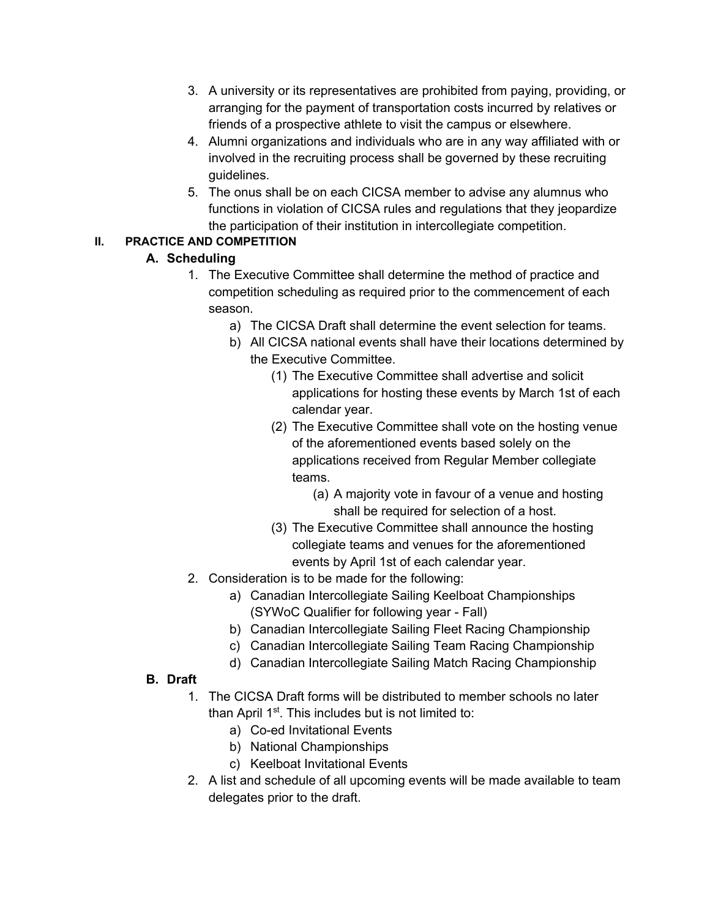- 3. A university or its representatives are prohibited from paying, providing, or arranging for the payment of transportation costs incurred by relatives or friends of a prospective athlete to visit the campus or elsewhere.
- 4. Alumni organizations and individuals who are in any way affiliated with or involved in the recruiting process shall be governed by these recruiting guidelines.
- 5. The onus shall be on each CICSA member to advise any alumnus who functions in violation of CICSA rules and regulations that they jeopardize the participation of their institution in intercollegiate competition.

# **II. PRACTICE AND COMPETITION**

# **A. Scheduling**

- 1. The Executive Committee shall determine the method of practice and competition scheduling as required prior to the commencement of each season.
	- a) The CICSA Draft shall determine the event selection for teams.
	- b) All CICSA national events shall have their locations determined by the Executive Committee.
		- (1) The Executive Committee shall advertise and solicit applications for hosting these events by March 1st of each calendar year.
		- (2) The Executive Committee shall vote on the hosting venue of the aforementioned events based solely on the applications received from Regular Member collegiate teams.
			- (a) A majority vote in favour of a venue and hosting shall be required for selection of a host.
		- (3) The Executive Committee shall announce the hosting collegiate teams and venues for the aforementioned events by April 1st of each calendar year.
- 2. Consideration is to be made for the following:
	- a) Canadian Intercollegiate Sailing Keelboat Championships (SYWoC Qualifier for following year - Fall)
	- b) Canadian Intercollegiate Sailing Fleet Racing Championship
	- c) Canadian Intercollegiate Sailing Team Racing Championship
	- d) Canadian Intercollegiate Sailing Match Racing Championship

#### **B. Draft**

- 1. The CICSA Draft forms will be distributed to member schools no later than April  $1<sup>st</sup>$ . This includes but is not limited to:
	- a) Co-ed Invitational Events
	- b) National Championships
	- c) Keelboat Invitational Events
- 2. A list and schedule of all upcoming events will be made available to team delegates prior to the draft.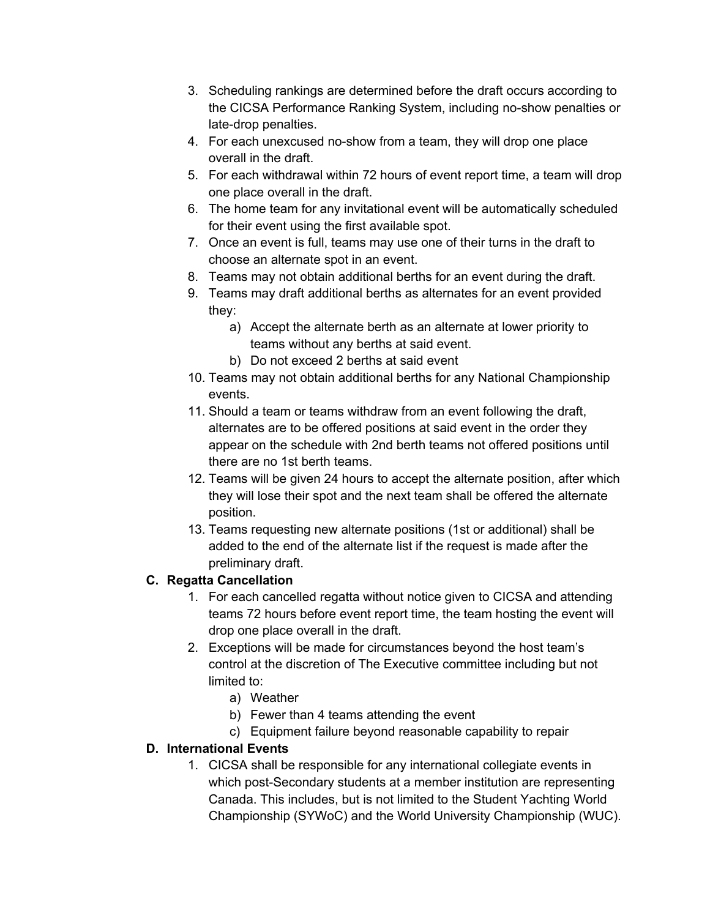- 3. Scheduling rankings are determined before the draft occurs according to the CICSA Performance Ranking System, including no-show penalties or late-drop penalties.
- 4. For each unexcused no-show from a team, they will drop one place overall in the draft.
- 5. For each withdrawal within 72 hours of event report time, a team will drop one place overall in the draft.
- 6. The home team for any invitational event will be automatically scheduled for their event using the first available spot.
- 7. Once an event is full, teams may use one of their turns in the draft to choose an alternate spot in an event.
- 8. Teams may not obtain additional berths for an event during the draft.
- 9. Teams may draft additional berths as alternates for an event provided they:
	- a) Accept the alternate berth as an alternate at lower priority to teams without any berths at said event.
	- b) Do not exceed 2 berths at said event
- 10. Teams may not obtain additional berths for any National Championship events.
- 11. Should a team or teams withdraw from an event following the draft, alternates are to be offered positions at said event in the order they appear on the schedule with 2nd berth teams not offered positions until there are no 1st berth teams.
- 12. Teams will be given 24 hours to accept the alternate position, after which they will lose their spot and the next team shall be offered the alternate position.
- 13. Teams requesting new alternate positions (1st or additional) shall be added to the end of the alternate list if the request is made after the preliminary draft.

# **C. Regatta Cancellation**

- 1. For each cancelled regatta without notice given to CICSA and attending teams 72 hours before event report time, the team hosting the event will drop one place overall in the draft.
- 2. Exceptions will be made for circumstances beyond the host team's control at the discretion of The Executive committee including but not limited to:
	- a) Weather
	- b) Fewer than 4 teams attending the event
	- c) Equipment failure beyond reasonable capability to repair

# **D. International Events**

1. CICSA shall be responsible for any international collegiate events in which post-Secondary students at a member institution are representing Canada. This includes, but is not limited to the Student Yachting World Championship (SYWoC) and the World University Championship (WUC).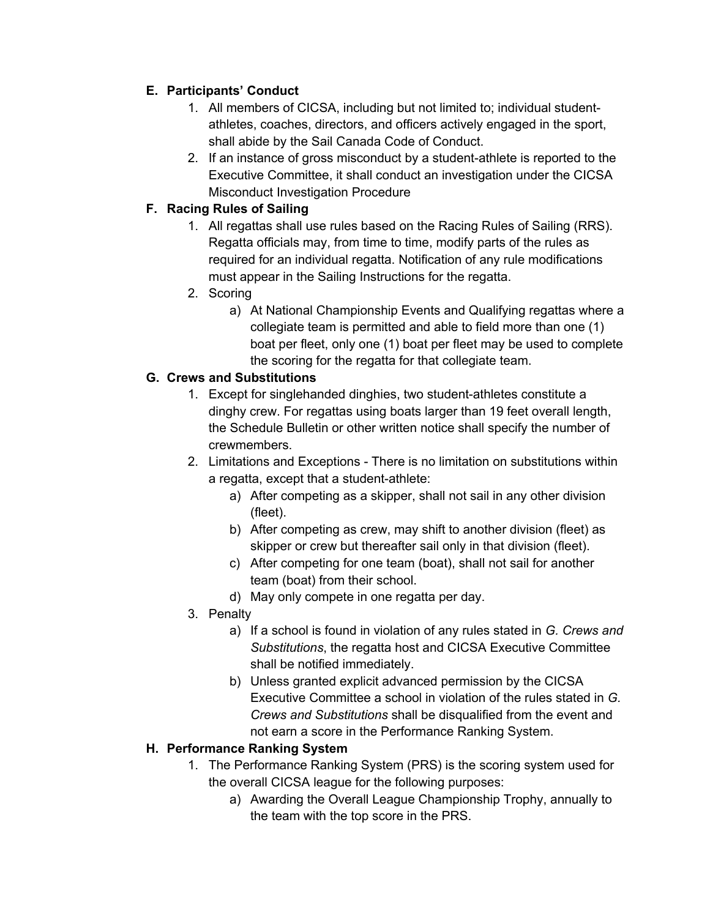# **E. Participants' Conduct**

- 1. All members of CICSA, including but not limited to; individual studentathletes, coaches, directors, and officers actively engaged in the sport, shall abide by the Sail Canada Code of Conduct.
- 2. If an instance of gross misconduct by a student-athlete is reported to the Executive Committee, it shall conduct an investigation under the CICSA Misconduct Investigation Procedure

# **F. Racing Rules of Sailing**

- 1. All regattas shall use rules based on the Racing Rules of Sailing (RRS). Regatta officials may, from time to time, modify parts of the rules as required for an individual regatta. Notification of any rule modifications must appear in the Sailing Instructions for the regatta.
- 2. Scoring
	- a) At National Championship Events and Qualifying regattas where a collegiate team is permitted and able to field more than one (1) boat per fleet, only one (1) boat per fleet may be used to complete the scoring for the regatta for that collegiate team.

# **G. Crews and Substitutions**

- 1. Except for singlehanded dinghies, two student-athletes constitute a dinghy crew. For regattas using boats larger than 19 feet overall length, the Schedule Bulletin or other written notice shall specify the number of crewmembers.
- 2. Limitations and Exceptions There is no limitation on substitutions within a regatta, except that a student-athlete:
	- a) After competing as a skipper, shall not sail in any other division (fleet).
	- b) After competing as crew, may shift to another division (fleet) as skipper or crew but thereafter sail only in that division (fleet).
	- c) After competing for one team (boat), shall not sail for another team (boat) from their school.
	- d) May only compete in one regatta per day.
- 3. Penalty
	- a) If a school is found in violation of any rules stated in *G. Crews and Substitutions*, the regatta host and CICSA Executive Committee shall be notified immediately.
	- b) Unless granted explicit advanced permission by the CICSA Executive Committee a school in violation of the rules stated in *G. Crews and Substitutions* shall be disqualified from the event and not earn a score in the Performance Ranking System.

# **H. Performance Ranking System**

- 1. The Performance Ranking System (PRS) is the scoring system used for the overall CICSA league for the following purposes:
	- a) Awarding the Overall League Championship Trophy, annually to the team with the top score in the PRS.